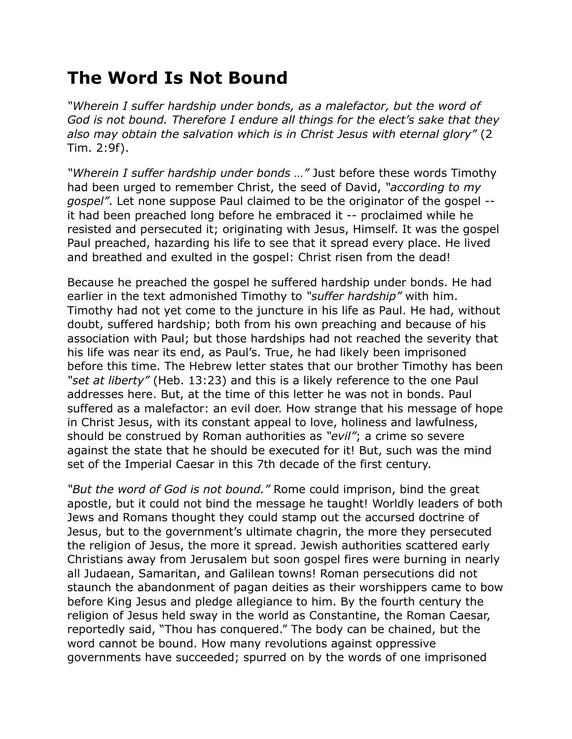## **The Word Is Not Bound**

*"Wherein I suffer hardship under bonds, as a malefactor, but the word of God is not bound. Therefore I endure all things for the elect's sake that they also may obtain the salvation which is in Christ Jesus with eternal glory"* (2 Tim. 2:9f).

*"Wherein I suffer hardship under bonds …"* Just before these words Timothy had been urged to remember Christ, the seed of David, *"according to my gospel"*. Let none suppose Paul claimed to be the originator of the gospel - it had been preached long before he embraced it -- proclaimed while he resisted and persecuted it; originating with Jesus, Himself. It was the gospel Paul preached, hazarding his life to see that it spread every place. He lived and breathed and exulted in the gospel: Christ risen from the dead!

Because he preached the gospel he suffered hardship under bonds. He had earlier in the text admonished Timothy to *"suffer hardship"* with him. Timothy had not yet come to the juncture in his life as Paul. He had, without doubt, suffered hardship; both from his own preaching and because of his association with Paul; but those hardships had not reached the severity that his life was near its end, as Paul's. True, he had likely been imprisoned before this time. The Hebrew letter states that our brother Timothy has been *"set at liberty"* (Heb. 13:23) and this is a likely reference to the one Paul addresses here. But, at the time of this letter he was not in bonds. Paul suffered as a malefactor: an evil doer. How strange that his message of hope in Christ Jesus, with its constant appeal to love, holiness and lawfulness, should be construed by Roman authorities as *"evil"*; a crime so severe against the state that he should be executed for it! But, such was the mind set of the Imperial Caesar in this 7th decade of the first century.

*"But the word of God is not bound."* Rome could imprison, bind the great apostle, but it could not bind the message he taught! Worldly leaders of both Jews and Romans thought they could stamp out the accursed doctrine of Jesus, but to the government's ultimate chagrin, the more they persecuted the religion of Jesus, the more it spread. Jewish authorities scattered early Christians away from Jerusalem but soon gospel fires were burning in nearly all Judaean, Samaritan, and Galilean towns! Roman persecutions did not staunch the abandonment of pagan deities as their worshippers came to bow before King Jesus and pledge allegiance to him. By the fourth century the religion of Jesus held sway in the world as Constantine, the Roman Caesar, reportedly said, "Thou has conquered." The body can be chained, but the word cannot be bound. How many revolutions against oppressive governments have succeeded; spurred on by the words of one imprisoned